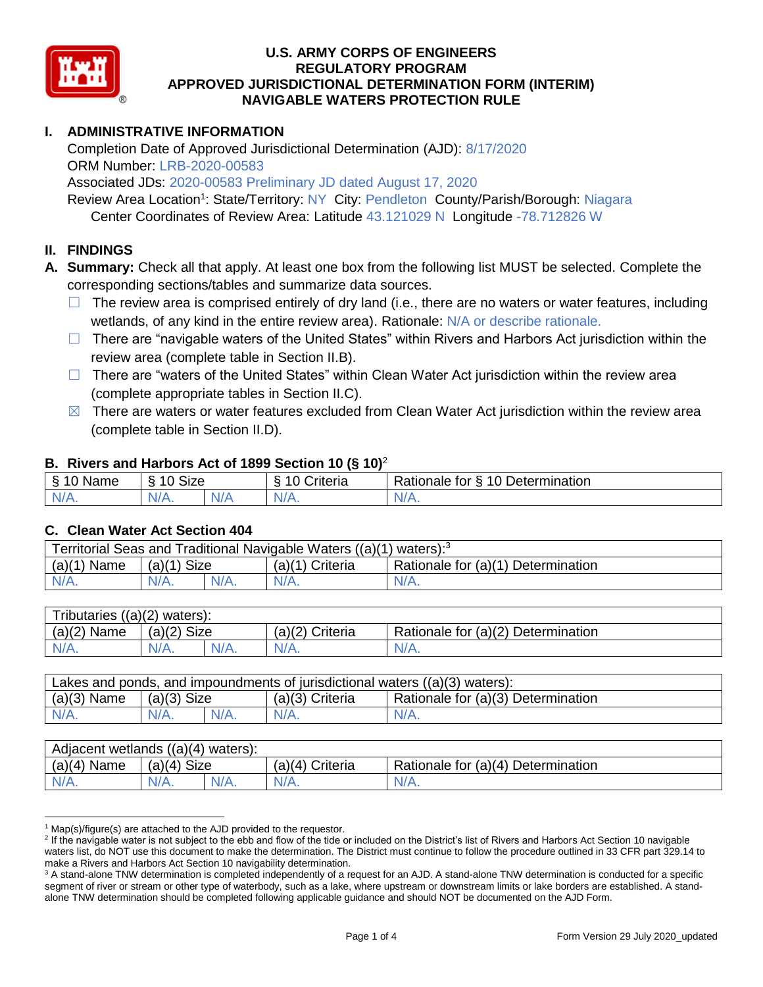

### **I. ADMINISTRATIVE INFORMATION**

Completion Date of Approved Jurisdictional Determination (AJD): 8/17/2020 ORM Number: LRB-2020-00583

Associated JDs: 2020-00583 Preliminary JD dated August 17, 2020

Review Area Location<sup>1</sup>: State/Territory: NY City: Pendleton County/Parish/Borough: Niagara Center Coordinates of Review Area: Latitude 43.121029 N Longitude -78.712826 W

### **II. FINDINGS**

**A. Summary:** Check all that apply. At least one box from the following list MUST be selected. Complete the corresponding sections/tables and summarize data sources.

- $\Box$  The review area is comprised entirely of dry land (i.e., there are no waters or water features, including wetlands, of any kind in the entire review area). Rationale: N/A or describe rationale.
- $\Box$  There are "navigable waters of the United States" within Rivers and Harbors Act jurisdiction within the review area (complete table in Section II.B).
- $\Box$  There are "waters of the United States" within Clean Water Act jurisdiction within the review area (complete appropriate tables in Section II.C).
- $\boxtimes$  There are waters or water features excluded from Clean Water Act jurisdiction within the review area (complete table in Section II.D).

#### **B. Rivers and Harbors Act of 1899 Section 10 (§ 10)**<sup>2</sup>

| $\cdot$                                                  |                   |     |                |                                                                 |  |  |  |  |
|----------------------------------------------------------|-------------------|-----|----------------|-----------------------------------------------------------------|--|--|--|--|
| $\sim$ $\sim$<br>$\blacksquare$<br>Name<br>$\rightarrow$ | <b>Size</b><br>10 |     | ∶riteria<br>L. | Determination<br>D <sub>o</sub><br>$\Delta$<br>tor<br>Rationale |  |  |  |  |
| $N/A$ .                                                  | 'V/A.             | N/f | $N/A$ .        | $N/A$ .                                                         |  |  |  |  |

#### **C. Clean Water Act Section 404**

| Territorial Seas and Traditional Navigable Waters $((a)(1)$ waters): <sup>3</sup> |                |  |                 |                                    |  |  |  |
|-----------------------------------------------------------------------------------|----------------|--|-----------------|------------------------------------|--|--|--|
| (a)(1)<br>Name                                                                    | Size<br>(a)(1) |  | (a)(1) Criteria | Rationale for (a)(1) Determination |  |  |  |
|                                                                                   | $N/A$ .        |  | $N/A$ .         | $N/A$ .                            |  |  |  |

| Tributaries $((a)(2)$ waters): |                 |  |                 |                                    |  |  |  |  |
|--------------------------------|-----------------|--|-----------------|------------------------------------|--|--|--|--|
| $(a)(2)$ Name                  | Size<br>(a)(2)  |  | (a)(2) Criteria | Rationale for (a)(2) Determination |  |  |  |  |
| $N/A$ .                        | $N/A$ .<br>N/A. |  | $N/A$ .         | N/A.                               |  |  |  |  |

| Lakes and ponds, and impoundments of jurisdictional waters $((a)(3)$ waters): |                    |  |                   |                                    |  |  |  |
|-------------------------------------------------------------------------------|--------------------|--|-------------------|------------------------------------|--|--|--|
| $(a)(3)$ Name                                                                 | $(a)(3)$ Size      |  | $(a)(3)$ Criteria | Rationale for (a)(3) Determination |  |  |  |
| $N/A$ .                                                                       | $N/A$ .<br>$N/A$ . |  | $N/A$ .           | $N/A$ .                            |  |  |  |

| Adjacent wetlands $((a)(4)$ waters): |                       |  |                    |                                    |  |  |  |  |
|--------------------------------------|-----------------------|--|--------------------|------------------------------------|--|--|--|--|
| $(a)(4)$ Name                        | <b>Size</b><br>(a)(4) |  | Criteria<br>(a)(4) | Rationale for (a)(4) Determination |  |  |  |  |
| $N/A$ .                              | $N/A$ .<br>$N/A$ .    |  | $N/A$ .            | $N/A$ .                            |  |  |  |  |

  $1$  Map(s)/figure(s) are attached to the AJD provided to the requestor.

<sup>&</sup>lt;sup>2</sup> If the navigable water is not subject to the ebb and flow of the tide or included on the District's list of Rivers and Harbors Act Section 10 navigable waters list, do NOT use this document to make the determination. The District must continue to follow the procedure outlined in 33 CFR part 329.14 to make a Rivers and Harbors Act Section 10 navigability determination.

<sup>&</sup>lt;sup>3</sup> A stand-alone TNW determination is completed independently of a request for an AJD. A stand-alone TNW determination is conducted for a specific segment of river or stream or other type of waterbody, such as a lake, where upstream or downstream limits or lake borders are established. A standalone TNW determination should be completed following applicable guidance and should NOT be documented on the AJD Form.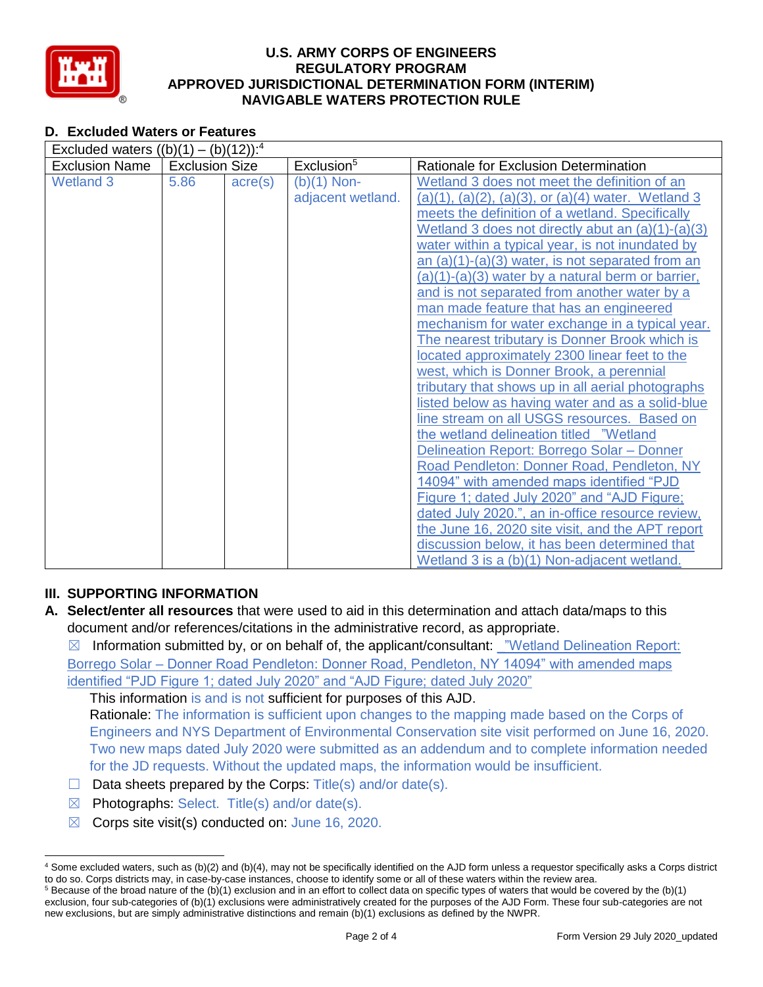

### **D. Excluded Waters or Features**

| Excluded waters $((b)(1) - (b)(12))$ : <sup>4</sup> |                       |                  |                        |                                                        |  |  |  |  |
|-----------------------------------------------------|-----------------------|------------------|------------------------|--------------------------------------------------------|--|--|--|--|
| <b>Exclusion Name</b>                               | <b>Exclusion Size</b> |                  | Exclusion <sup>5</sup> | Rationale for Exclusion Determination                  |  |  |  |  |
| <b>Wetland 3</b>                                    | 5.86                  | $\text{acre}(s)$ | $(b)(1)$ Non-          | Wetland 3 does not meet the definition of an           |  |  |  |  |
|                                                     |                       |                  | adjacent wetland.      | $(a)(1), (a)(2), (a)(3),$ or $(a)(4)$ water. Wetland 3 |  |  |  |  |
|                                                     |                       |                  |                        | meets the definition of a wetland. Specifically        |  |  |  |  |
|                                                     |                       |                  |                        | Wetland 3 does not directly abut an $(a)(1)-(a)(3)$    |  |  |  |  |
|                                                     |                       |                  |                        | water within a typical year, is not inundated by       |  |  |  |  |
|                                                     |                       |                  |                        | an $(a)(1)-(a)(3)$ water, is not separated from an     |  |  |  |  |
|                                                     |                       |                  |                        | (a)(1)-(a)(3) water by a natural berm or barrier,      |  |  |  |  |
|                                                     |                       |                  |                        | and is not separated from another water by a           |  |  |  |  |
|                                                     |                       |                  |                        | man made feature that has an engineered                |  |  |  |  |
|                                                     |                       |                  |                        | mechanism for water exchange in a typical year.        |  |  |  |  |
|                                                     |                       |                  |                        | The nearest tributary is Donner Brook which is         |  |  |  |  |
|                                                     |                       |                  |                        | located approximately 2300 linear feet to the          |  |  |  |  |
|                                                     |                       |                  |                        | west, which is Donner Brook, a perennial               |  |  |  |  |
|                                                     |                       |                  |                        | tributary that shows up in all aerial photographs      |  |  |  |  |
|                                                     |                       |                  |                        | listed below as having water and as a solid-blue       |  |  |  |  |
|                                                     |                       |                  |                        | line stream on all USGS resources. Based on            |  |  |  |  |
|                                                     |                       |                  |                        | the wetland delineation titled "Wetland"               |  |  |  |  |
|                                                     |                       |                  |                        | Delineation Report: Borrego Solar - Donner             |  |  |  |  |
|                                                     |                       |                  |                        | Road Pendleton: Donner Road, Pendleton, NY             |  |  |  |  |
|                                                     |                       |                  |                        | 14094" with amended maps identified "PJD               |  |  |  |  |
|                                                     |                       |                  |                        | Figure 1; dated July 2020" and "AJD Figure;            |  |  |  |  |
|                                                     |                       |                  |                        | dated July 2020.", an in-office resource review,       |  |  |  |  |
|                                                     |                       |                  |                        | the June 16, 2020 site visit, and the APT report       |  |  |  |  |
|                                                     |                       |                  |                        | discussion below, it has been determined that          |  |  |  |  |
|                                                     |                       |                  |                        | Wetland 3 is a (b)(1) Non-adjacent wetland.            |  |  |  |  |

## **III. SUPPORTING INFORMATION**

**A. Select/enter all resources** that were used to aid in this determination and attach data/maps to this document and/or references/citations in the administrative record, as appropriate.

 $\boxtimes$  Information submitted by, or on behalf of, the applicant/consultant: "Wetland Delineation Report: Borrego Solar – Donner Road Pendleton: Donner Road, Pendleton, NY 14094" with amended maps identified "PJD Figure 1; dated July 2020" and "AJD Figure; dated July 2020"

This information is and is not sufficient for purposes of this AJD. Rationale: The information is sufficient upon changes to the mapping made based on the Corps of Engineers and NYS Department of Environmental Conservation site visit performed on June 16, 2020. Two new maps dated July 2020 were submitted as an addendum and to complete information needed for the JD requests. Without the updated maps, the information would be insufficient.

- $\Box$  Data sheets prepared by the Corps: Title(s) and/or date(s).
- $\boxtimes$  Photographs: Select. Title(s) and/or date(s).
- $\boxtimes$  Corps site visit(s) conducted on: June 16, 2020.

<sup>4</sup> Some excluded waters, such as (b)(2) and (b)(4), may not be specifically identified on the AJD form unless a requestor specifically asks a Corps district to do so. Corps districts may, in case-by-case instances, choose to identify some or all of these waters within the review area.

 $5$  Because of the broad nature of the (b)(1) exclusion and in an effort to collect data on specific types of waters that would be covered by the (b)(1) exclusion, four sub-categories of (b)(1) exclusions were administratively created for the purposes of the AJD Form. These four sub-categories are not new exclusions, but are simply administrative distinctions and remain (b)(1) exclusions as defined by the NWPR.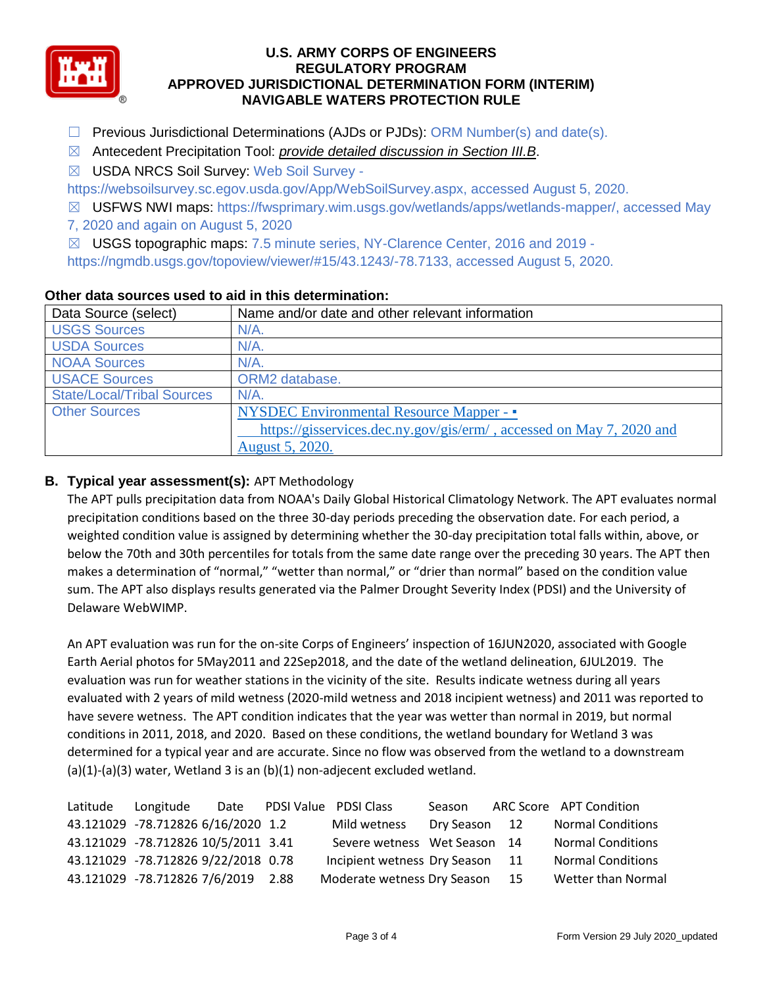

- $\Box$  Previous Jurisdictional Determinations (AJDs or PJDs): ORM Number(s) and date(s).
- ☒ Antecedent Precipitation Tool: *provide detailed discussion in Section III.B*.
- ☒ USDA NRCS Soil Survey: Web Soil Survey -

https://websoilsurvey.sc.egov.usda.gov/App/WebSoilSurvey.aspx, accessed August 5, 2020.

- ☒ USFWS NWI maps: https://fwsprimary.wim.usgs.gov/wetlands/apps/wetlands-mapper/, accessed May
- 7, 2020 and again on August 5, 2020
- ☒ USGS topographic maps: 7.5 minute series, NY-Clarence Center, 2016 and 2019 -

https://ngmdb.usgs.gov/topoview/viewer/#15/43.1243/-78.7133, accessed August 5, 2020.

| Data Source (select)              | Name and/or date and other relevant information                      |  |  |  |  |
|-----------------------------------|----------------------------------------------------------------------|--|--|--|--|
| <b>USGS Sources</b>               | N/A.                                                                 |  |  |  |  |
| <b>USDA Sources</b>               | N/A.                                                                 |  |  |  |  |
| <b>NOAA Sources</b>               | $N/A$ .                                                              |  |  |  |  |
| <b>USACE Sources</b>              | ORM2 database.                                                       |  |  |  |  |
| <b>State/Local/Tribal Sources</b> | $N/A$ .                                                              |  |  |  |  |
| <b>Other Sources</b>              | <b>NYSDEC Environmental Resource Mapper - •</b>                      |  |  |  |  |
|                                   | https://gisservices.dec.ny.gov/gis/erm/, accessed on May 7, 2020 and |  |  |  |  |
|                                   | August 5, 2020.                                                      |  |  |  |  |

#### **Other data sources used to aid in this determination:**

# **B. Typical year assessment(s):** APT Methodology

The APT pulls precipitation data from NOAA's Daily Global Historical Climatology Network. The APT evaluates normal precipitation conditions based on the three 30-day periods preceding the observation date. For each period, a weighted condition value is assigned by determining whether the 30-day precipitation total falls within, above, or below the 70th and 30th percentiles for totals from the same date range over the preceding 30 years. The APT then makes a determination of "normal," "wetter than normal," or "drier than normal" based on the condition value sum. The APT also displays results generated via the Palmer Drought Severity Index (PDSI) and the University of Delaware WebWIMP.

An APT evaluation was run for the on-site Corps of Engineers' inspection of 16JUN2020, associated with Google Earth Aerial photos for 5May2011 and 22Sep2018, and the date of the wetland delineation, 6JUL2019. The evaluation was run for weather stations in the vicinity of the site. Results indicate wetness during all years evaluated with 2 years of mild wetness (2020-mild wetness and 2018 incipient wetness) and 2011 was reported to have severe wetness. The APT condition indicates that the year was wetter than normal in 2019, but normal conditions in 2011, 2018, and 2020. Based on these conditions, the wetland boundary for Wetland 3 was determined for a typical year and are accurate. Since no flow was observed from the wetland to a downstream (a)(1)-(a)(3) water, Wetland 3 is an (b)(1) non-adjecent excluded wetland.

| Latitude | Longitude                           |  | Date PDSI Value PDSI Class      | Season        | ARC Score APT Condition  |
|----------|-------------------------------------|--|---------------------------------|---------------|--------------------------|
|          | 43.121029 -78.712826 6/16/2020 1.2  |  | Mild wetness                    | Dry Season 12 | <b>Normal Conditions</b> |
|          | 43.121029 -78.712826 10/5/2011 3.41 |  | Severe wetness Wet Season 14    |               | <b>Normal Conditions</b> |
|          | 43.121029 -78.712826 9/22/2018 0.78 |  | Incipient wetness Dry Season 11 |               | <b>Normal Conditions</b> |
|          | 43.121029 -78.712826 7/6/2019 2.88  |  | Moderate wetness Dry Season 15  |               | Wetter than Normal       |